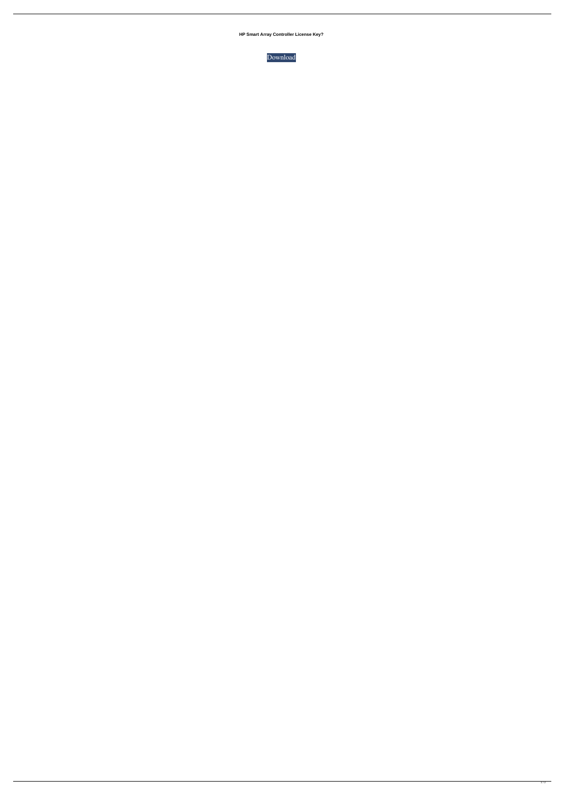**HP Smart Array Controller License Key?**